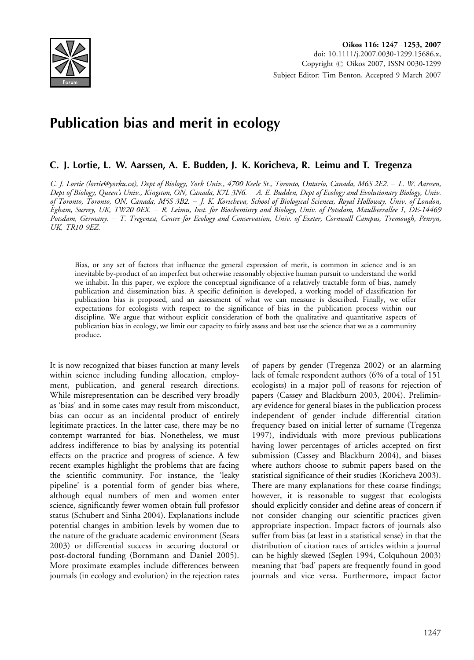

# Publication bias and merit in ecology

#### C. J. Lortie, L. W. Aarssen, A. E. Budden, J. K. Koricheva, R. Leimu and T. Tregenza

C. J. Lortie (lortie@yorku.ca), Dept of Biology, York Univ., 4700 Keele St., Toronto, Ontario, Canada, M6S 2E2. L. W. Aarssen, Dept of Biology, Queen's Univ., Kingston, ON, Canada, K7L 3N6. A. E. Budden, Dept of Ecology and Evolutionary Biology, Univ. of Toronto, Toronto, ON, Canada, M5S 3B2. J. K. Koricheva, School of Biological Sciences, Royal Holloway, Univ. of London, Egham, Surrey, UK, TW20 0EX. R. Leimu, Inst. for Biochemistry and Biology, Univ. of Potsdam, Maulbeerallee 1, DE-14469 Potsdam, Germany. T. Tregenza, Centre for Ecology and Conservation, Univ. of Exeter, Cornwall Campus, Tremough, Penryn, UK, TR10 9EZ.

Bias, or any set of factors that influence the general expression of merit, is common in science and is an inevitable by-product of an imperfect but otherwise reasonably objective human pursuit to understand the world we inhabit. In this paper, we explore the conceptual significance of a relatively tractable form of bias, namely publication and dissemination bias. A specific definition is developed, a working model of classification for publication bias is proposed, and an assessment of what we can measure is described. Finally, we offer expectations for ecologists with respect to the significance of bias in the publication process within our discipline. We argue that without explicit consideration of both the qualitative and quantitative aspects of publication bias in ecology, we limit our capacity to fairly assess and best use the science that we as a community produce.

It is now recognized that biases function at many levels within science including funding allocation, employment, publication, and general research directions. While misrepresentation can be described very broadly as 'bias' and in some cases may result from misconduct, bias can occur as an incidental product of entirely legitimate practices. In the latter case, there may be no contempt warranted for bias. Nonetheless, we must address indifference to bias by analysing its potential effects on the practice and progress of science. A few recent examples highlight the problems that are facing the scientific community. For instance, the 'leaky pipeline' is a potential form of gender bias where, although equal numbers of men and women enter science, significantly fewer women obtain full professor status (Schubert and Sinha 2004). Explanations include potential changes in ambition levels by women due to the nature of the graduate academic environment (Sears 2003) or differential success in securing doctoral or post-doctoral funding (Bornmann and Daniel 2005). More proximate examples include differences between journals (in ecology and evolution) in the rejection rates

of papers by gender (Tregenza 2002) or an alarming lack of female respondent authors (6% of a total of 151 ecologists) in a major poll of reasons for rejection of papers (Cassey and Blackburn 2003, 2004). Preliminary evidence for general biases in the publication process independent of gender include differential citation frequency based on initial letter of surname (Tregenza 1997), individuals with more previous publications having lower percentages of articles accepted on first submission (Cassey and Blackburn 2004), and biases where authors choose to submit papers based on the statistical significance of their studies (Koricheva 2003). There are many explanations for these coarse findings; however, it is reasonable to suggest that ecologists should explicitly consider and define areas of concern if not consider changing our scientific practices given appropriate inspection. Impact factors of journals also suffer from bias (at least in a statistical sense) in that the distribution of citation rates of articles within a journal can be highly skewed (Seglen 1994, Colquhoun 2003) meaning that 'bad' papers are frequently found in good journals and vice versa. Furthermore, impact factor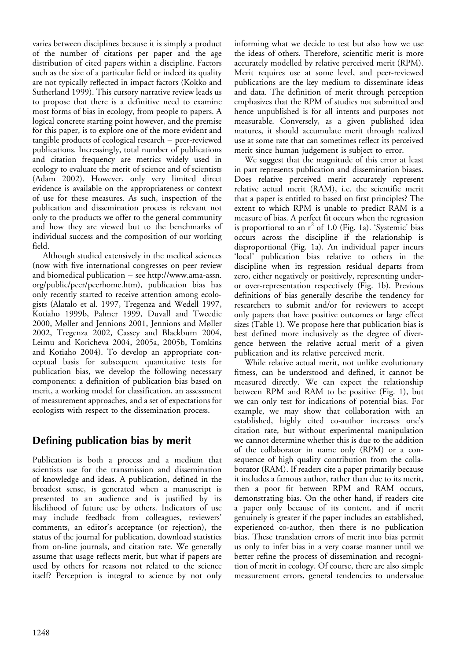varies between disciplines because it is simply a product of the number of citations per paper and the age distribution of cited papers within a discipline. Factors such as the size of a particular field or indeed its quality are not typically reflected in impact factors (Kokko and Sutherland 1999). This cursory narrative review leads us to propose that there is a definitive need to examine most forms of bias in ecology, from people to papers. A logical concrete starting point however, and the premise for this paper, is to explore one of the more evident and  $t$ angible products of ecological research  $-$  peer-reviewed publications. Increasingly, total number of publications and citation frequency are metrics widely used in ecology to evaluate the merit of science and of scientists (Adam 2002). However, only very limited direct evidence is available on the appropriateness or context of use for these measures. As such, inspection of the publication and dissemination process is relevant not only to the products we offer to the general community and how they are viewed but to the benchmarks of individual success and the composition of our working field.

Although studied extensively in the medical sciences (now with five international congresses on peer review and biomedical publication  $-$  see http://www.ama-assn. org/public/peer/peerhome.htm), publication bias has only recently started to receive attention among ecologists (Alatalo et al. 1997, Tregenza and Wedell 1997, Kotiaho 1999b, Palmer 1999, Duvall and Tweedie 2000, Møller and Jennions 2001, Jennions and Møller 2002, Tregenza 2002, Cassey and Blackburn 2004, Leimu and Koricheva 2004, 2005a, 2005b, Tomkins and Kotiaho 2004). To develop an appropriate conceptual basis for subsequent quantitative tests for publication bias, we develop the following necessary components: a definition of publication bias based on merit, a working model for classification, an assessment of measurement approaches, and a set of expectations for ecologists with respect to the dissemination process.

# Defining publication bias by merit

Publication is both a process and a medium that scientists use for the transmission and dissemination of knowledge and ideas. A publication, defined in the broadest sense, is generated when a manuscript is presented to an audience and is justified by its likelihood of future use by others. Indicators of use may include feedback from colleagues, reviewers' comments, an editor's acceptance (or rejection), the status of the journal for publication, download statistics from on-line journals, and citation rate. We generally assume that usage reflects merit, but what if papers are used by others for reasons not related to the science itself? Perception is integral to science by not only informing what we decide to test but also how we use the ideas of others. Therefore, scientific merit is more accurately modelled by relative perceived merit (RPM). Merit requires use at some level, and peer-reviewed publications are the key medium to disseminate ideas and data. The definition of merit through perception emphasizes that the RPM of studies not submitted and hence unpublished is for all intents and purposes not measurable. Conversely, as a given published idea matures, it should accumulate merit through realized use at some rate that can sometimes reflect its perceived merit since human judgement is subject to error.

We suggest that the magnitude of this error at least in part represents publication and dissemination biases. Does relative perceived merit accurately represent relative actual merit (RAM), i.e. the scientific merit that a paper is entitled to based on first principles? The extent to which RPM is unable to predict RAM is a measure of bias. A perfect fit occurs when the regression is proportional to an  $r^2$  of 1.0 (Fig. 1a). 'Systemic' bias occurs across the discipline if the relationship is disproportional (Fig. 1a). An individual paper incurs 'local' publication bias relative to others in the discipline when its regression residual departs from zero, either negatively or positively, representing underor over-representation respectively (Fig. 1b). Previous definitions of bias generally describe the tendency for researchers to submit and/or for reviewers to accept only papers that have positive outcomes or large effect sizes (Table 1). We propose here that publication bias is best defined more inclusively as the degree of divergence between the relative actual merit of a given publication and its relative perceived merit.

While relative actual merit, not unlike evolutionary fitness, can be understood and defined, it cannot be measured directly. We can expect the relationship between RPM and RAM to be positive (Fig. 1), but we can only test for indications of potential bias. For example, we may show that collaboration with an established, highly cited co-author increases one's citation rate, but without experimental manipulation we cannot determine whether this is due to the addition of the collaborator in name only (RPM) or a consequence of high quality contribution from the collaborator (RAM). If readers cite a paper primarily because it includes a famous author, rather than due to its merit, then a poor fit between RPM and RAM occurs, demonstrating bias. On the other hand, if readers cite a paper only because of its content, and if merit genuinely is greater if the paper includes an established, experienced co-author, then there is no publication bias. These translation errors of merit into bias permit us only to infer bias in a very coarse manner until we better refine the process of dissemination and recognition of merit in ecology. Of course, there are also simple measurement errors, general tendencies to undervalue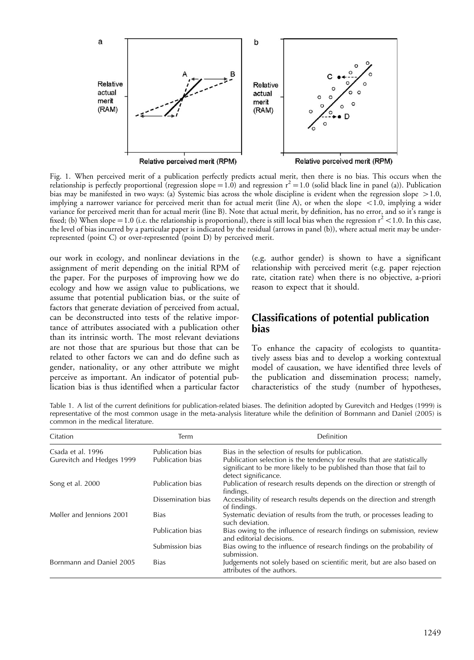

Fig. 1. When perceived merit of a publication perfectly predicts actual merit, then there is no bias. This occurs when the relationship is perfectly proportional (regression slope = 1.0) and regression  $r^2$  = 1.0 (solid black line in panel (a)). Publication bias may be manifested in two ways: (a) Systemic bias across the whole discipline is evident when the regression slope  $>1.0$ , implying a narrower variance for perceived merit than for actual merit (line A), or when the slope  $\lt 1.0$ , implying a wider variance for perceived merit than for actual merit (line B). Note that actual merit, by definition, has no error, and so it's range is fixed; (b) When slope = 1.0 (i.e. the relationship is proportional), there is still local bias when the regression  $r^2$  < 1.0. In this case, the level of bias incurred by a particular paper is indicated by the residual (arrows in panel (b)), where actual merit may be underrepresented (point C) or over-represented (point D) by perceived merit.

our work in ecology, and nonlinear deviations in the assignment of merit depending on the initial RPM of the paper. For the purposes of improving how we do ecology and how we assign value to publications, we assume that potential publication bias, or the suite of factors that generate deviation of perceived from actual, can be deconstructed into tests of the relative importance of attributes associated with a publication other than its intrinsic worth. The most relevant deviations are not those that are spurious but those that can be related to other factors we can and do define such as gender, nationality, or any other attribute we might perceive as important. An indicator of potential publication bias is thus identified when a particular factor

(e.g. author gender) is shown to have a significant relationship with perceived merit (e.g. paper rejection rate, citation rate) when there is no objective, a-priori reason to expect that it should.

#### Classifications of potential publication bias

To enhance the capacity of ecologists to quantitatively assess bias and to develop a working contextual model of causation, we have identified three levels of the publication and dissemination process; namely, characteristics of the study (number of hypotheses,

Table 1. A list of the current definitions for publication-related biases. The definition adopted by Gurevitch and Hedges (1999) is representative of the most common usage in the meta-analysis literature while the definition of Bornmann and Daniel (2005) is common in the medical literature.

| Citation                  | Term               | Definition                                                                                                                                                                |
|---------------------------|--------------------|---------------------------------------------------------------------------------------------------------------------------------------------------------------------------|
| Csada et al. 1996         | Publication bias   | Bias in the selection of results for publication.                                                                                                                         |
| Gurevitch and Hedges 1999 | Publication bias   | Publication selection is the tendency for results that are statistically<br>significant to be more likely to be published than those that fail to<br>detect significance. |
| Song et al. 2000          | Publication bias   | Publication of research results depends on the direction or strength of<br>findings.                                                                                      |
|                           | Dissemination bias | Accessibility of research results depends on the direction and strength<br>of findings.                                                                                   |
| Møller and Jennions 2001  | <b>Bias</b>        | Systematic deviation of results from the truth, or processes leading to<br>such deviation.                                                                                |
|                           | Publication bias   | Bias owing to the influence of research findings on submission, review<br>and editorial decisions.                                                                        |
|                           | Submission bias    | Bias owing to the influence of research findings on the probability of<br>submission.                                                                                     |
| Bornmann and Daniel 2005  | <b>Bias</b>        | Judgements not solely based on scientific merit, but are also based on<br>attributes of the authors.                                                                      |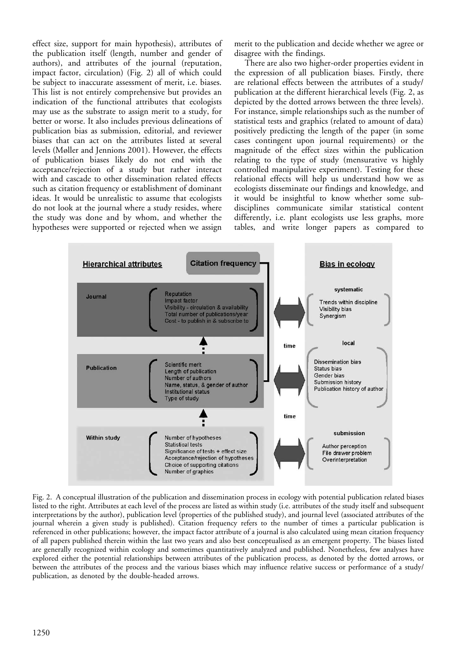effect size, support for main hypothesis), attributes of the publication itself (length, number and gender of authors), and attributes of the journal (reputation, impact factor, circulation) (Fig. 2) all of which could be subject to inaccurate assessment of merit, i.e. biases. This list is not entirely comprehensive but provides an indication of the functional attributes that ecologists may use as the substrate to assign merit to a study, for better or worse. It also includes previous delineations of publication bias as submission, editorial, and reviewer biases that can act on the attributes listed at several levels (Møller and Jennions 2001). However, the effects of publication biases likely do not end with the acceptance/rejection of a study but rather interact with and cascade to other dissemination related effects such as citation frequency or establishment of dominant ideas. It would be unrealistic to assume that ecologists do not look at the journal where a study resides, where the study was done and by whom, and whether the hypotheses were supported or rejected when we assign merit to the publication and decide whether we agree or disagree with the findings.

There are also two higher-order properties evident in the expression of all publication biases. Firstly, there are relational effects between the attributes of a study/ publication at the different hierarchical levels (Fig. 2, as depicted by the dotted arrows between the three levels). For instance, simple relationships such as the number of statistical tests and graphics (related to amount of data) positively predicting the length of the paper (in some cases contingent upon journal requirements) or the magnitude of the effect sizes within the publication relating to the type of study (mensurative vs highly controlled manipulative experiment). Testing for these relational effects will help us understand how we as ecologists disseminate our findings and knowledge, and it would be insightful to know whether some subdisciplines communicate similar statistical content differently, i.e. plant ecologists use less graphs, more tables, and write longer papers as compared to



Fig. 2. A conceptual illustration of the publication and dissemination process in ecology with potential publication related biases listed to the right. Attributes at each level of the process are listed as within study (i.e. attributes of the study itself and subsequent interpretations by the author), publication level (properties of the published study), and journal level (associated attributes of the journal wherein a given study is published). Citation frequency refers to the number of times a particular publication is referenced in other publications; however, the impact factor attribute of a journal is also calculated using mean citation frequency of all papers published therein within the last two years and also best conceptualised as an emergent property. The biases listed are generally recognized within ecology and sometimes quantitatively analyzed and published. Nonetheless, few analyses have explored either the potential relationships between attributes of the publication process, as denoted by the dotted arrows, or between the attributes of the process and the various biases which may influence relative success or performance of a study/ publication, as denoted by the double-headed arrows.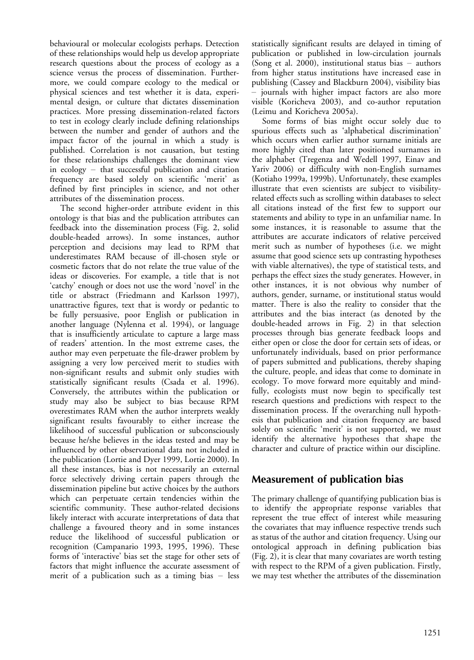behavioural or molecular ecologists perhaps. Detection of these relationships would help us develop appropriate research questions about the process of ecology as a science versus the process of dissemination. Furthermore, we could compare ecology to the medical or physical sciences and test whether it is data, experimental design, or culture that dictates dissemination practices. More pressing dissemination-related factors to test in ecology clearly include defining relationships between the number and gender of authors and the impact factor of the journal in which a study is published. Correlation is not causation, but testing for these relationships challenges the dominant view in  $ecology - that successful publication and citation$ frequency are based solely on scientific 'merit' as defined by first principles in science, and not other attributes of the dissemination process.

The second higher-order attribute evident in this ontology is that bias and the publication attributes can feedback into the dissemination process (Fig. 2, solid double-headed arrows). In some instances, author perception and decisions may lead to RPM that underestimates RAM because of ill-chosen style or cosmetic factors that do not relate the true value of the ideas or discoveries. For example, a title that is not 'catchy' enough or does not use the word 'novel' in the title or abstract (Friedmann and Karlsson 1997), unattractive figures, text that is wordy or pedantic to be fully persuasive, poor English or publication in another language (Nylenna et al. 1994), or language that is insufficiently articulate to capture a large mass of readers' attention. In the most extreme cases, the author may even perpetuate the file-drawer problem by assigning a very low perceived merit to studies with non-significant results and submit only studies with statistically significant results (Csada et al. 1996). Conversely, the attributes within the publication or study may also be subject to bias because RPM overestimates RAM when the author interprets weakly significant results favourably to either increase the likelihood of successful publication or subconsciously because he/she believes in the ideas tested and may be influenced by other observational data not included in the publication (Lortie and Dyer 1999, Lortie 2000). In all these instances, bias is not necessarily an external force selectively driving certain papers through the dissemination pipeline but active choices by the authors which can perpetuate certain tendencies within the scientific community. These author-related decisions likely interact with accurate interpretations of data that challenge a favoured theory and in some instances reduce the likelihood of successful publication or recognition (Campanario 1993, 1995, 1996). These forms of 'interactive' bias set the stage for other sets of factors that might influence the accurate assessment of merit of a publication such as a timing bias  $-$  less

statistically significant results are delayed in timing of publication or published in low-circulation journals (Song et al. 2000), institutional status bias  $-$  authors from higher status institutions have increased ease in publishing (Cassey and Blackburn 2004), visibility bias - journals with higher impact factors are also more visible (Koricheva 2003), and co-author reputation (Leimu and Koricheva 2005a).

Some forms of bias might occur solely due to spurious effects such as 'alphabetical discrimination' which occurs when earlier author surname initials are more highly cited than later positioned surnames in the alphabet (Tregenza and Wedell 1997, Einav and Yariv 2006) or difficulty with non-English surnames (Kotiaho 1999a, 1999b). Unfortunately, these examples illustrate that even scientists are subject to visibilityrelated effects such as scrolling within databases to select all citations instead of the first few to support our statements and ability to type in an unfamiliar name. In some instances, it is reasonable to assume that the attributes are accurate indicators of relative perceived merit such as number of hypotheses (i.e. we might assume that good science sets up contrasting hypotheses with viable alternatives), the type of statistical tests, and perhaps the effect sizes the study generates. However, in other instances, it is not obvious why number of authors, gender, surname, or institutional status would matter. There is also the reality to consider that the attributes and the bias interact (as denoted by the double-headed arrows in Fig. 2) in that selection processes through bias generate feedback loops and either open or close the door for certain sets of ideas, or unfortunately individuals, based on prior performance of papers submitted and publications, thereby shaping the culture, people, and ideas that come to dominate in ecology. To move forward more equitably and mindfully, ecologists must now begin to specifically test research questions and predictions with respect to the dissemination process. If the overarching null hypothesis that publication and citation frequency are based solely on scientific 'merit' is not supported, we must identify the alternative hypotheses that shape the character and culture of practice within our discipline.

#### Measurement of publication bias

The primary challenge of quantifying publication bias is to identify the appropriate response variables that represent the true effect of interest while measuring the covariates that may influence respective trends such as status of the author and citation frequency. Using our ontological approach in defining publication bias (Fig. 2), it is clear that many covariates are worth testing with respect to the RPM of a given publication. Firstly, we may test whether the attributes of the dissemination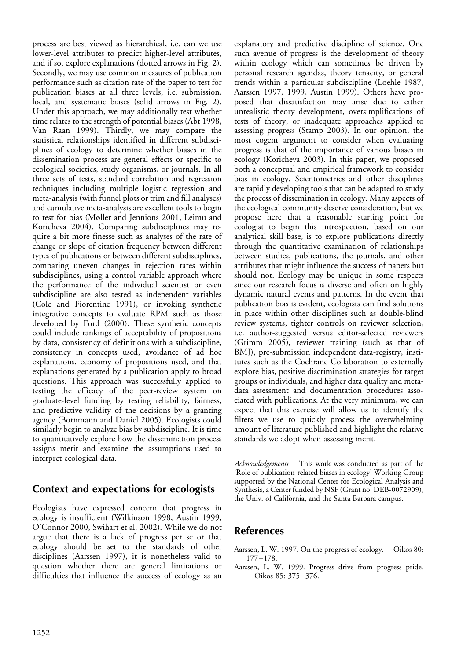process are best viewed as hierarchical, i.e. can we use lower-level attributes to predict higher-level attributes, and if so, explore explanations (dotted arrows in Fig. 2). Secondly, we may use common measures of publication performance such as citation rate of the paper to test for publication biases at all three levels, i.e. submission, local, and systematic biases (solid arrows in Fig. 2). Under this approach, we may additionally test whether time relates to the strength of potential biases (Abt 1998, Van Raan 1999). Thirdly, we may compare the statistical relationships identified in different subdisciplines of ecology to determine whether biases in the dissemination process are general effects or specific to ecological societies, study organisms, or journals. In all three sets of tests, standard correlation and regression techniques including multiple logistic regression and meta-analysis (with funnel plots or trim and fill analyses) and cumulative meta-analysis are excellent tools to begin to test for bias (Møller and Jennions 2001, Leimu and Koricheva 2004). Comparing subdisciplines may require a bit more finesse such as analyses of the rate of change or slope of citation frequency between different types of publications or between different subdisciplines, comparing uneven changes in rejection rates within subdisciplines, using a control variable approach where the performance of the individual scientist or even subdiscipline are also tested as independent variables (Cole and Fiorentine 1991), or invoking synthetic integrative concepts to evaluate RPM such as those developed by Ford (2000). These synthetic concepts could include rankings of acceptability of propositions by data, consistency of definitions with a subdiscipline, consistency in concepts used, avoidance of ad hoc explanations, economy of propositions used, and that explanations generated by a publication apply to broad questions. This approach was successfully applied to testing the efficacy of the peer-review system on graduate-level funding by testing reliability, fairness, and predictive validity of the decisions by a granting agency (Bornmann and Daniel 2005). Ecologists could similarly begin to analyze bias by subdiscipline. It is time to quantitatively explore how the dissemination process assigns merit and examine the assumptions used to interpret ecological data.

## Context and expectations for ecologists

Ecologists have expressed concern that progress in ecology is insufficient (Wilkinson 1998, Austin 1999, O'Connor 2000, Swihart et al. 2002). While we do not argue that there is a lack of progress per se or that ecology should be set to the standards of other disciplines (Aarssen 1997), it is nonetheless valid to question whether there are general limitations or difficulties that influence the success of ecology as an explanatory and predictive discipline of science. One such avenue of progress is the development of theory within ecology which can sometimes be driven by personal research agendas, theory tenacity, or general trends within a particular subdiscipline (Loehle 1987, Aarssen 1997, 1999, Austin 1999). Others have proposed that dissatisfaction may arise due to either unrealistic theory development, oversimplifications of tests of theory, or inadequate approaches applied to assessing progress (Stamp 2003). In our opinion, the most cogent argument to consider when evaluating progress is that of the importance of various biases in ecology (Koricheva 2003). In this paper, we proposed both a conceptual and empirical framework to consider bias in ecology. Scientometrics and other disciplines are rapidly developing tools that can be adapted to study the process of dissemination in ecology. Many aspects of the ecological community deserve consideration, but we propose here that a reasonable starting point for ecologist to begin this introspection, based on our analytical skill base, is to explore publications directly through the quantitative examination of relationships between studies, publications, the journals, and other attributes that might influence the success of papers but should not. Ecology may be unique in some respects since our research focus is diverse and often on highly dynamic natural events and patterns. In the event that publication bias is evident, ecologists can find solutions in place within other disciplines such as double-blind review systems, tighter controls on reviewer selection, i.e. author-suggested versus editor-selected reviewers (Grimm 2005), reviewer training (such as that of BMJ), pre-submission independent data-registry, institutes such as the Cochrane Collaboration to externally explore bias, positive discrimination strategies for target groups or individuals, and higher data quality and metadata assessment and documentation procedures associated with publications. At the very minimum, we can expect that this exercise will allow us to identify the filters we use to quickly process the overwhelming amount of literature published and highlight the relative standards we adopt when assessing merit.

 $Acknowledgements$  – This work was conducted as part of the 'Role of publication-related biases in ecology' Working Group supported by the National Center for Ecological Analysis and Synthesis, a Center funded by NSF (Grant no. DEB-0072909), the Univ. of California, and the Santa Barbara campus.

## References

- Aarssen, L. W. 1997. On the progress of ecology. Oikos 80:  $177 - 178.$
- Aarssen, L. W. 1999. Progress drive from progress pride.  $-$  Oikos 85: 375 $-$ 376.